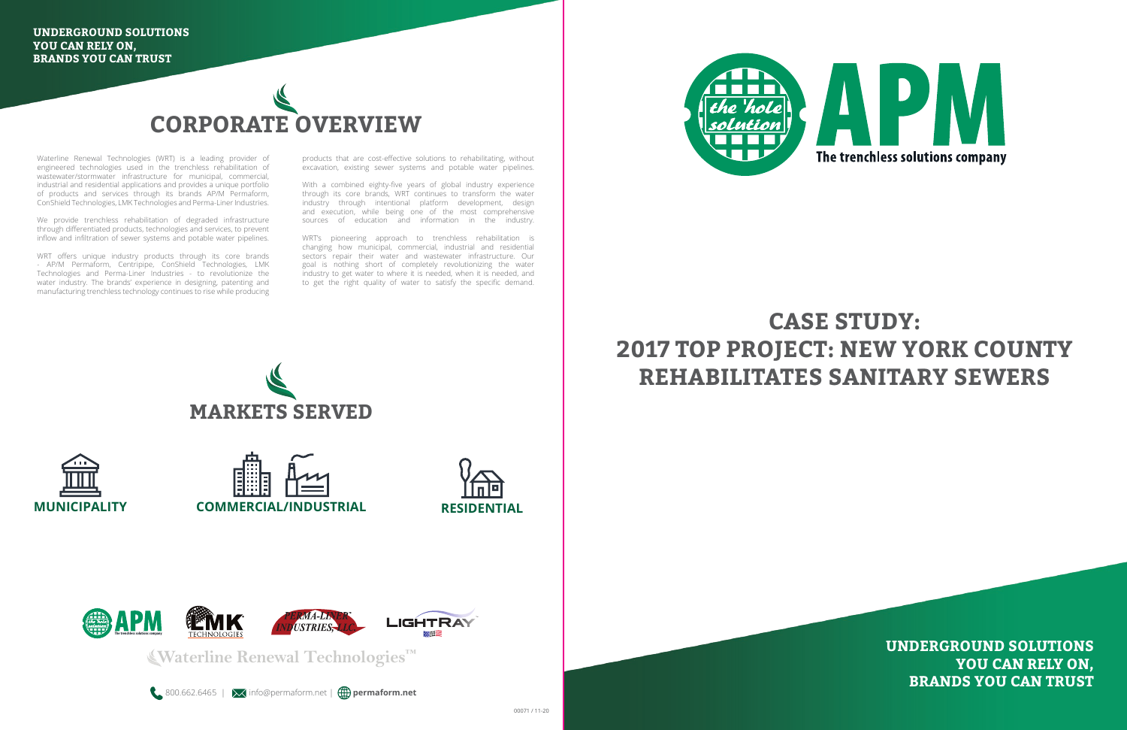

Waterline Renewal Technologies (WRT) is a leading provider of engineered technologies used in the trenchless rehabilitation of wastewater/stormwater infrastructure for municipal, commercial, industrial and residential applications and provides a unique portfolio of products and services through its brands AP/M Permaform, ConShield Technologies, LMK Technologies and Perma-Liner Industries.

We provide trenchless rehabilitation of degraded infrastructure through differentiated products, technologies and services, to prevent inflow and infiltration of sewer systems and potable water pipelines.

WRT offers unique industry products through its core brands - AP/M Permaform, Centripipe, ConShield Technologies, LMK Technologies and Perma-Liner Industries - to revolutionize the water industry. The brands' experience in designing, patenting and manufacturing trenchless technology continues to rise while producing

products that are cost-effective solutions to rehabilitating, without excavation, existing sewer systems and potable water pipelines.

With a combined eighty-five years of global industry experience through its core brands, WRT continues to transform the water industry through intentional platform development, design and execution, while being one of the most comprehensive sources of education and information in the industry.

WRT's pioneering approach to trenchless rehabilitation is changing how municipal, commercial, industrial and residential sectors repair their water and wastewater infrastructure. Our goal is nothing short of completely revolutionizing the water industry to get water to where it is needed, when it is needed, and to get the right quality of water to satisfy the specific demand.



**Waterline Renewal Technologies™**

**& 800.662.6465 | X** info@permaform.net | **permaform.net** 



**UNDERGROUND SOLUTIONS YOU CAN RELY ON, BRANDS YOU CAN TRUST**











## **CASE STUDY: 2017 TOP PROJECT: NEW YORK COUNTY REHABILITATES SANITARY SEWERS**